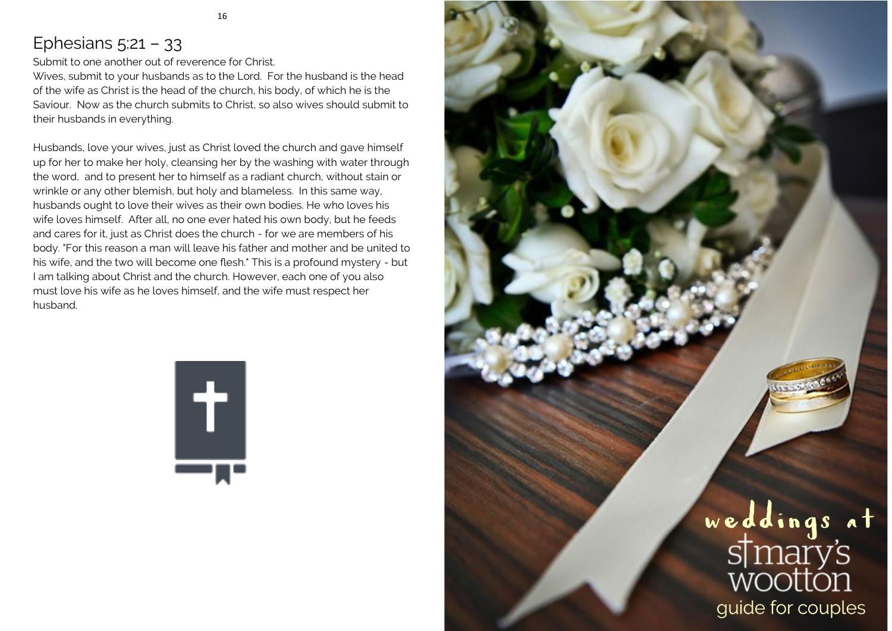#### Ephesians  $5:21 - 33$

Submit to one another out of reverence for Christ.

Wives, submit to your husbands as to the Lord. For the husband is the head of the wife as Christ is the head of the church, his body, of which he is the Saviour. Now as the church submits to Christ, so also wives should submit to their husbands in everything.

Husbands, love your wives, just as Christ loved the church and gave himself up for her to make her holy, cleansing her by the washing with water through the word, and to present her to himself as a radiant church, without stain or wrinkle or any other blemish, but holy and blameless. In this same way, husbands ought to love their wives as their own bodies. He who loves his wife loves himself. After all, no one ever hated his own body, but he feeds and cares for it, just as Christ does the church - for we are members of his body. "For this reason a man will leave his father and mother and be united to his wife, and the two will become one flesh." This is a profound mystery - but I am talking about Christ and the church. However, each one of you also must love his wife as he loves himself, and the wife must respect her husband.



weddings at<br>stmary's<br>wootton guide for couples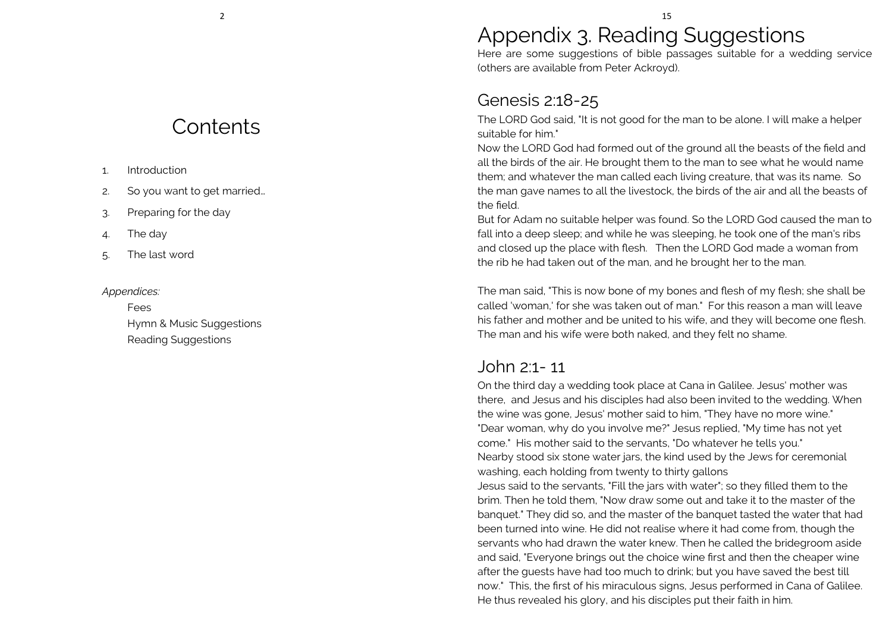# Appendix 3. Reading Suggestions

Here are some suggestions of bible passages suitable for a wedding service (others are available from Peter Ackroyd).

#### Genesis 2:18-25

The LORD God said, "It is not good for the man to be alone. I will make a helper suitable for him."

Now the LORD God had formed out of the ground all the beasts of the field and all the birds of the air. He brought them to the man to see what he would name them; and whatever the man called each living creature, that was its name. So the man gave names to all the livestock, the birds of the air and all the beasts of the field.

But for Adam no suitable helper was found. So the LORD God caused the man to fall into a deep sleep; and while he was sleeping, he took one of the man's ribs and closed up the place with flesh. Then the LORD God made a woman from the rib he had taken out of the man, and he brought her to the man.

The man said, "This is now bone of my bones and flesh of my flesh; she shall be called 'woman,' for she was taken out of man." For this reason a man will leave his father and mother and be united to his wife, and they will become one flesh. The man and his wife were both naked, and they felt no shame.

#### John 2:1- 11

On the third day a wedding took place at Cana in Galilee. Jesus' mother was there, and Jesus and his disciples had also been invited to the wedding. When the wine was gone, Jesus' mother said to him, "They have no more wine." "Dear woman, why do you involve me?" Jesus replied, "My time has not yet come." His mother said to the servants, "Do whatever he tells you." Nearby stood six stone water jars, the kind used by the Jews for ceremonial washing, each holding from twenty to thirty gallons

Jesus said to the servants, "Fill the jars with water"; so they filled them to the brim. Then he told them, "Now draw some out and take it to the master of the banquet." They did so, and the master of the banquet tasted the water that had been turned into wine. He did not realise where it had come from, though the servants who had drawn the water knew. Then he called the bridegroom aside and said, "Everyone brings out the choice wine first and then the cheaper wine after the guests have had too much to drink; but you have saved the best till now." This, the first of his miraculous signs, Jesus performed in Cana of Galilee. He thus revealed his glory, and his disciples put their faith in him.

# **Contents**

- 1. Introduction
- 2. So you want to get married…
- 3. Preparing for the day
- 4. The day
- 5. The last word

#### *Appendices:*

Fees Hymn & Music Suggestions Reading Suggestions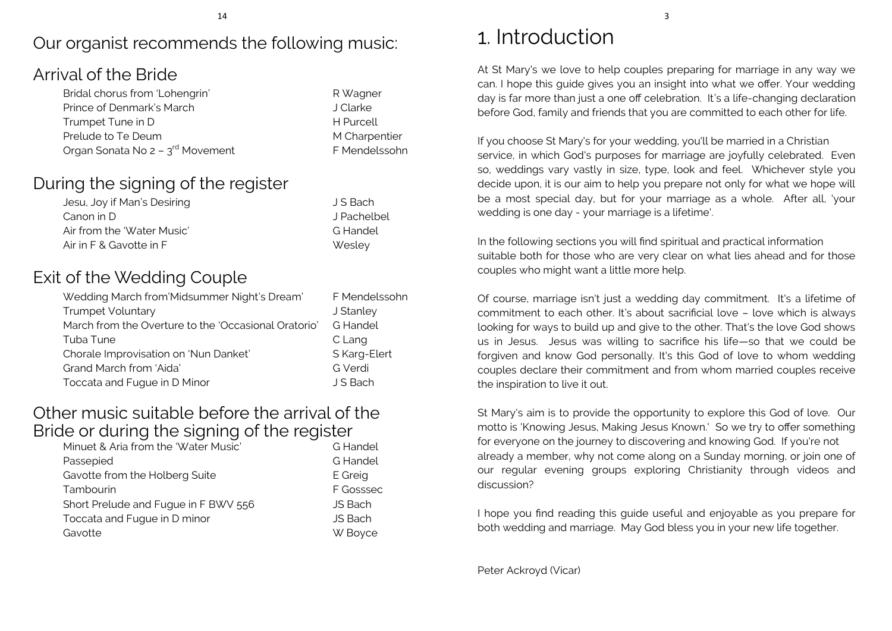14

## Our organist recommends the following music:

## Arrival of the Bride

Bridal chorus from 'Lohengrin' R Wagner Prince of Denmark's March John Clarke Trumpet Tune in D H Purcell Prelude to Te Deum M Charpentier Organ Sonata No 2 - 3<sup>rd</sup> Movement

# F Mendelssohn

#### During the signing of the register

| Jesu, Joy if Man's Desiring | J S Bach    |
|-----------------------------|-------------|
| Canon in D                  | J Pachelbel |
| Air from the 'Water Music'  | G Handel    |
| Air in F & Gavotte in F     | Wesley      |

## Exit of the Wedding Couple

| Wedding March from'Midsummer Night's Dream'          | F Mendelssohn |
|------------------------------------------------------|---------------|
| <b>Trumpet Voluntary</b>                             | J Stanley     |
| March from the Overture to the 'Occasional Oratorio' | G Handel      |
| Tuba Tune                                            | C Lang        |
| Chorale Improvisation on 'Nun Danket'                | S Karg-Elert  |
| Grand March from 'Aida'                              | G Verdi       |
| Toccata and Fugue in D Minor                         | J S Bach      |

#### Other music suitable before the arrival of the Bride or during the signing of the register

| Minuet & Aria from the 'Water Music' | <b>G</b> Handel |
|--------------------------------------|-----------------|
| Passepied                            | G Handel        |
| Gavotte from the Holberg Suite       | E Greig         |
| Tambourin                            | F Gosssec       |
| Short Prelude and Fugue in F BWV 556 | JS Bach         |
| Toccata and Fugue in D minor         | JS Bach         |
| Gavotte                              | W Boyce         |
|                                      |                 |

# 1. Introduction

At St Mary's we love to help couples preparing for marriage in any way we can. I hope this guide gives you an insight into what we offer. Your wedding day is far more than just a one off celebration. It's a life-changing declaration before God, family and friends that you are committed to each other for life.

If you choose St Mary's for your wedding, you'll be married in a Christian service, in which God's purposes for marriage are joyfully celebrated. Even so, weddings vary vastly in size, type, look and feel. Whichever style you decide upon, it is our aim to help you prepare not only for what we hope will be a most special day, but for your marriage as a whole. After all, 'your wedding is one day - your marriage is a lifetime'.

In the following sections you will find spiritual and practical information suitable both for those who are very clear on what lies ahead and for those couples who might want a little more help.

Of course, marriage isn't just a wedding day commitment. It's a lifetime of commitment to each other. It's about sacrificial love – love which is always looking for ways to build up and give to the other. That's the love God shows us in Jesus. Jesus was willing to sacrifice his life—so that we could be forgiven and know God personally. It's this God of love to whom wedding couples declare their commitment and from whom married couples receive the inspiration to live it out.

St Mary's aim is to provide the opportunity to explore this God of love. Our motto is 'Knowing Jesus, Making Jesus Known.' So we try to offer something for everyone on the journey to discovering and knowing God. If you're not already a member, why not come along on a Sunday morning, or join one of our regular evening groups exploring Christianity through videos and discussion?

I hope you find reading this guide useful and enjoyable as you prepare for both wedding and marriage. May God bless you in your new life together.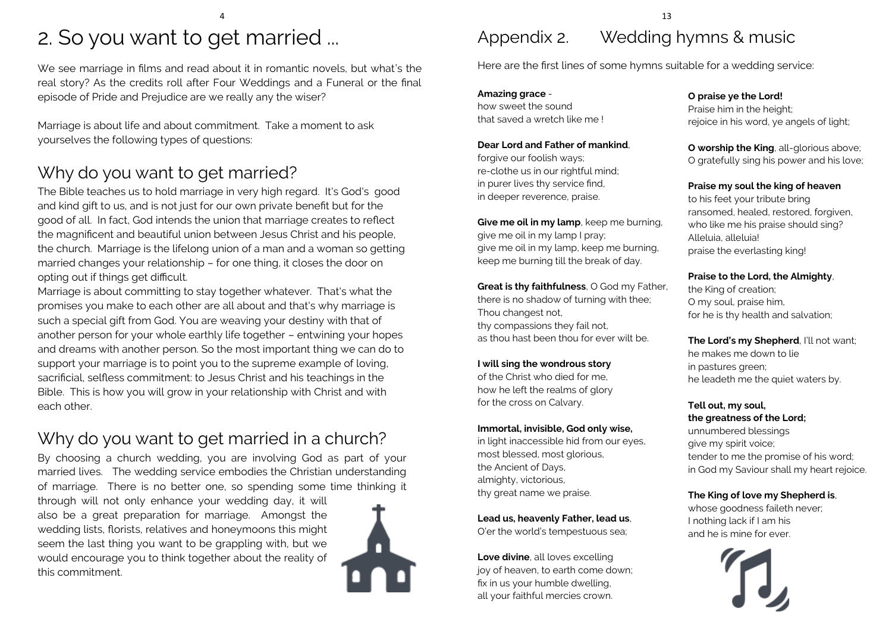#### 4 2. So you want to get married ...

We see marriage in films and read about it in romantic novels, but what's the real story? As the credits roll after Four Weddings and a Funeral or the final episode of Pride and Prejudice are we really any the wiser?

Marriage is about life and about commitment. Take a moment to ask yourselves the following types of questions:

#### Why do you want to get married?

The Bible teaches us to hold marriage in very high regard. It's God's good and kind gift to us, and is not just for our own private benefit but for the good of all. In fact, God intends the union that marriage creates to reflect the magnificent and beautiful union between Jesus Christ and his people, the church. Marriage is the lifelong union of a man and a woman so getting married changes your relationship – for one thing, it closes the door on opting out if things get difficult.

Marriage is about committing to stay together whatever. That's what the promises you make to each other are all about and that's why marriage is such a special gift from God. You are weaving your destiny with that of another person for your whole earthly life together – entwining your hopes and dreams with another person. So the most important thing we can do to support your marriage is to point you to the supreme example of loving, sacrificial, selfless commitment: to Jesus Christ and his teachings in the Bible. This is how you will grow in your relationship with Christ and with each other.

#### Why do you want to get married in a church?

By choosing a church wedding, you are involving God as part of your married lives. The wedding service embodies the Christian understanding of marriage. There is no better one, so spending some time thinking it

through will not only enhance your wedding day, it will also be a great preparation for marriage. Amongst the wedding lists, florists, relatives and honeymoons this might seem the last thing you want to be grappling with, but we would encourage you to think together about the reality of this commitment.



# Appendix 2. Wedding hymns & music

Here are the first lines of some hymns suitable for a wedding service:

13

**Amazing grace**  how sweet the sound that saved a wretch like me !

#### **Dear Lord and Father of mankind**,

forgive our foolish ways; re-clothe us in our rightful mind; in purer lives thy service find, in deeper reverence, praise.

**Give me oil in my lamp**, keep me burning, give me oil in my lamp I pray; give me oil in my lamp, keep me burning, keep me burning till the break of day.

**Great is thy faithfulness**, O God my Father, there is no shadow of turning with thee; Thou changest not, thy compassions they fail not, as thou hast been thou for ever wilt be.

#### **I will sing the wondrous story**

of the Christ who died for me, how he left the realms of glory for the cross on Calvary.

#### **Immortal, invisible, God only wise,**

in light inaccessible hid from our eyes, most blessed, most glorious, the Ancient of Days, almighty, victorious, thy great name we praise.

**Lead us, heavenly Father, lead us**, O'er the world's tempestuous sea;

**Love divine**, all loves excelling joy of heaven, to earth come down; fix in us your humble dwelling, all your faithful mercies crown.

**O praise ye the Lord!**  Praise him in the height; rejoice in his word, ye angels of light;

**O worship the King**, all-glorious above; O gratefully sing his power and his love;

**Praise my soul the king of heaven**  to his feet your tribute bring ransomed, healed, restored, forgiven, who like me his praise should sing? Alleluia, alleluia! praise the everlasting king!

**Praise to the Lord, the Almighty**, the King of creation; O my soul, praise him, for he is thy health and salvation;

**The Lord's my Shepherd**, I'll not want; he makes me down to lie in pastures green; he leadeth me the quiet waters by.

#### **Tell out, my soul,**

**the greatness of the Lord;** unnumbered blessings give my spirit voice; tender to me the promise of his word; in God my Saviour shall my heart rejoice.

#### **The King of love my Shepherd is**,

whose goodness faileth never; I nothing lack if I am his and he is mine for ever.

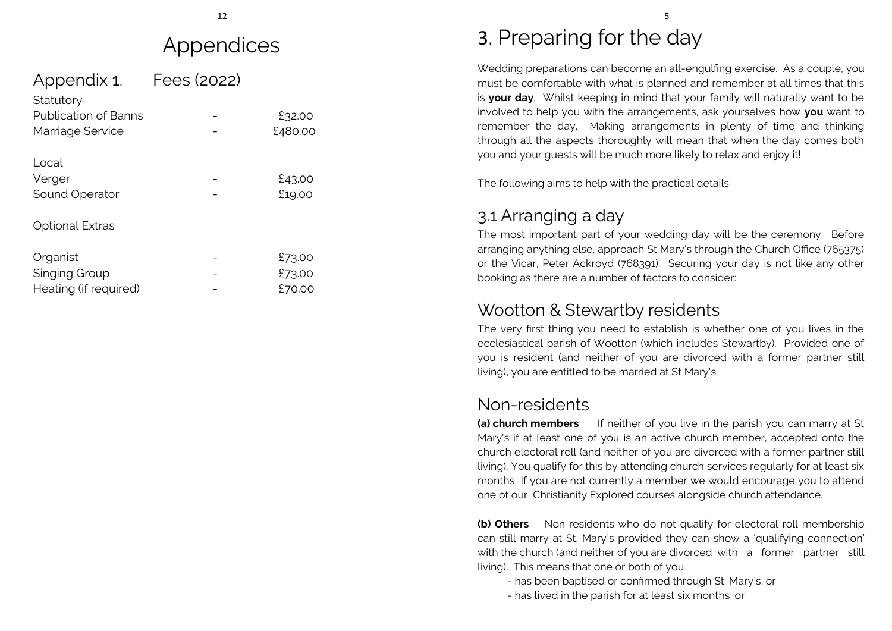# Appendices

| Appendix 1.                 | Fees (2022) |         |
|-----------------------------|-------------|---------|
| Statutory                   |             |         |
| <b>Publication of Banns</b> |             | £32.00  |
| Marriage Service            |             | £480.00 |
| Local                       |             |         |
| Verger                      |             | £43.00  |
| Sound Operator              |             | £19.00  |
| <b>Optional Extras</b>      |             |         |
| Organist                    |             | £73.00  |
| Singing Group               |             | £73.00  |
| Heating (if required)       |             | £70.00  |

# 3. Preparing for the day

Wedding preparations can become an all-engulfing exercise. As a couple, you must be comfortable with what is planned and remember at all times that this is **your day**. Whilst keeping in mind that your family will naturally want to be involved to help you with the arrangements, ask yourselves how **you** want to remember the day. Making arrangements in plenty of time and thinking through all the aspects thoroughly will mean that when the day comes both you and your guests will be much more likely to relax and enjoy it!

The following aims to help with the practical details:

### 3.1 Arranging a day

The most important part of your wedding day will be the ceremony. Before arranging anything else, approach St Mary's through the Church Office (765375) or the Vicar, Peter Ackroyd (768391). Securing your day is not like any other booking as there are a number of factors to consider:

#### Wootton & Stewartby residents

The very first thing you need to establish is whether one of you lives in the ecclesiastical parish of Wootton (which includes Stewartby). Provided one of you is resident (and neither of you are divorced with a former partner still living), you are entitled to be married at St Mary's.

#### Non-residents

**(a) church members** If neither of you live in the parish you can marry at St Mary's if at least one of you is an active church member, accepted onto the church electoral roll (and neither of you are divorced with a former partner still living). You qualify for this by attending church services regularly for at least six months If you are not currently a member we would encourage you to attend one of our Christianity Explored courses alongside church attendance.

**(b) Others** Non residents who do not qualify for electoral roll membership can still marry at St. Mary's provided they can show a 'qualifying connection' with the church (and neither of you are divorced with a former partner still living). This means that one or both of you

- has been baptised or confirmed through St. Mary's; or
- has lived in the parish for at least six months; or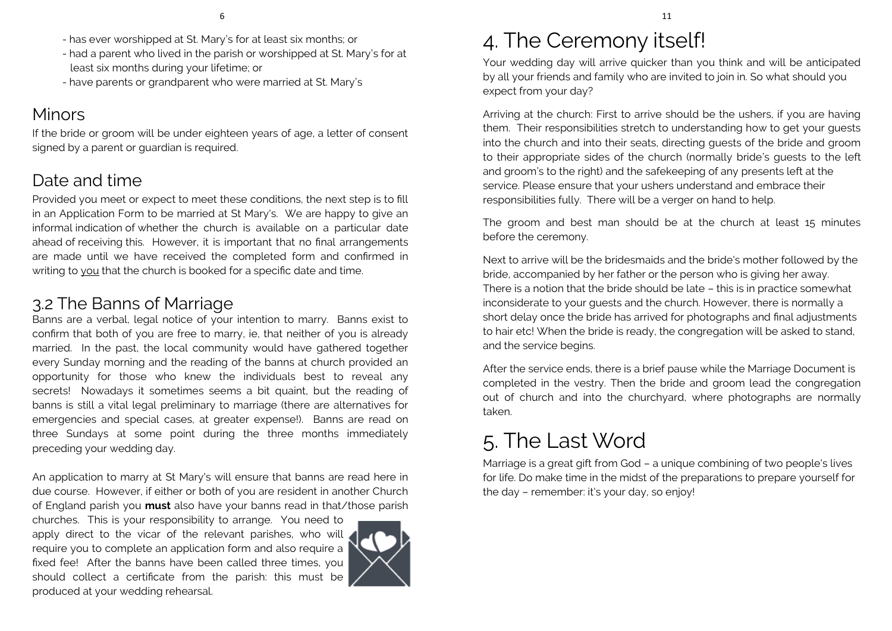- has ever worshipped at St. Mary's for at least six months; or
- had a parent who lived in the parish or worshipped at St. Mary's for at least six months during your lifetime; or
- have parents or grandparent who were married at St. Mary's

#### Minors

If the bride or groom will be under eighteen years of age, a letter of consent signed by a parent or guardian is required.

#### Date and time

Provided you meet or expect to meet these conditions, the next step is to fill in an Application Form to be married at St Mary's. We are happy to give an informal indication of whether the church is available on a particular date ahead of receiving this. However, it is important that no final arrangements are made until we have received the completed form and confirmed in writing to you that the church is booked for a specific date and time.

#### 3.2 The Banns of Marriage

Banns are a verbal, legal notice of your intention to marry. Banns exist to confirm that both of you are free to marry, ie, that neither of you is already married. In the past, the local community would have gathered together every Sunday morning and the reading of the banns at church provided an opportunity for those who knew the individuals best to reveal any secrets! Nowadays it sometimes seems a bit quaint, but the reading of banns is still a vital legal preliminary to marriage (there are alternatives for emergencies and special cases, at greater expense!). Banns are read on three Sundays at some point during the three months immediately preceding your wedding day.

An application to marry at St Mary's will ensure that banns are read here in due course. However, if either or both of you are resident in another Church of England parish you **must** also have your banns read in that/those parish

churches. This is your responsibility to arrange. You need to apply direct to the vicar of the relevant parishes, who will require you to complete an application form and also require a fixed fee! After the banns have been called three times, you should collect a certificate from the parish: this must be produced at your wedding rehearsal.



# 4. The Ceremony itself!

Your wedding day will arrive quicker than you think and will be anticipated by all your friends and family who are invited to join in. So what should you expect from your day?

Arriving at the church: First to arrive should be the ushers, if you are having them. Their responsibilities stretch to understanding how to get your guests into the church and into their seats, directing guests of the bride and groom to their appropriate sides of the church (normally bride's guests to the left and groom's to the right) and the safekeeping of any presents left at the service. Please ensure that your ushers understand and embrace their responsibilities fully. There will be a verger on hand to help.

The groom and best man should be at the church at least 15 minutes before the ceremony.

Next to arrive will be the bridesmaids and the bride's mother followed by the bride, accompanied by her father or the person who is giving her away. There is a notion that the bride should be late – this is in practice somewhat inconsiderate to your guests and the church. However, there is normally a short delay once the bride has arrived for photographs and final adjustments to hair etc! When the bride is ready, the congregation will be asked to stand, and the service begins.

After the service ends, there is a brief pause while the Marriage Document is completed in the vestry. Then the bride and groom lead the congregation out of church and into the churchyard, where photographs are normally taken.

# 5. The Last Word

Marriage is a great gift from God – a unique combining of two people's lives for life. Do make time in the midst of the preparations to prepare yourself for the day – remember: it's your day, so enjoy!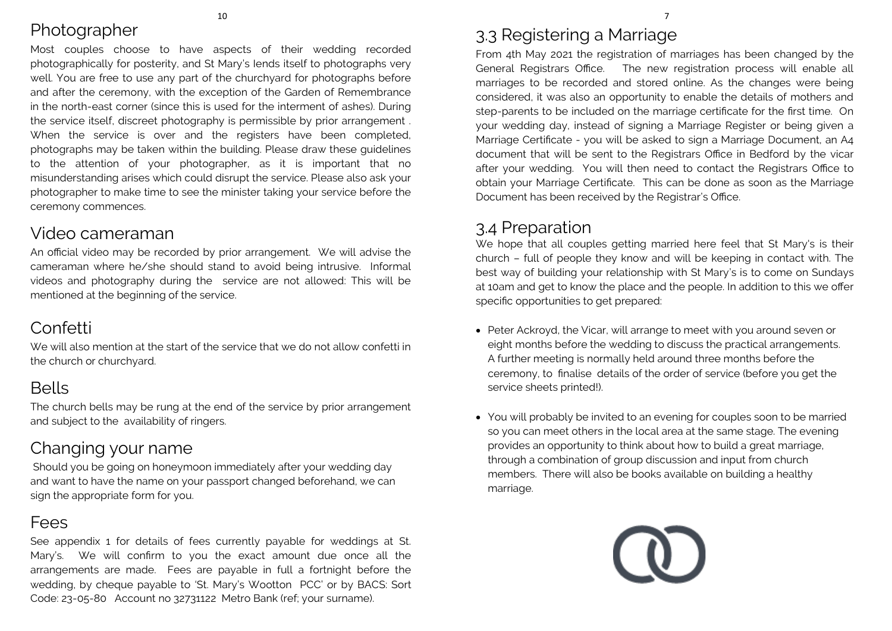### Photographer

Most couples choose to have aspects of their wedding recorded photographically for posterity, and St Mary's Iends itself to photographs very well. You are free to use any part of the churchyard for photographs before and after the ceremony, with the exception of the Garden of Remembrance in the north-east corner (since this is used for the interment of ashes). During the service itself, discreet photography is permissible by prior arrangement . When the service is over and the registers have been completed, photographs may be taken within the building. Please draw these guidelines to the attention of your photographer, as it is important that no misunderstanding arises which could disrupt the service. Please also ask your photographer to make time to see the minister taking your service before the ceremony commences.

#### Video cameraman

An official video may be recorded by prior arrangement. We will advise the cameraman where he/she should stand to avoid being intrusive. Informal videos and photography during the service are not allowed: This will be mentioned at the beginning of the service.

## Confetti

We will also mention at the start of the service that we do not allow confetti in the church or churchyard.

### Bells

The church bells may be rung at the end of the service by prior arrangement and subject to the availability of ringers.

#### Changing your name

Should you be going on honeymoon immediately after your wedding day and want to have the name on your passport changed beforehand, we can sign the appropriate form for you.

#### Fees

See appendix 1 for details of fees currently payable for weddings at St. Mary's.We will confirm to you the exact amount due once all the arrangements are made. Fees are payable in full a fortnight before the wedding, by cheque payable to 'St. Mary's Wootton PCC' or by BACS: Sort Code: 23-05-80 Account no 32731122 Metro Bank (ref; your surname).

#### 3.3 Registering a Marriage

From 4th May 2021 the registration of marriages has been changed by the General Registrars Office. The new registration process will enable all marriages to be recorded and stored online. As the changes were being considered, it was also an opportunity to enable the details of mothers and step-parents to be included on the marriage certificate for the first time. On your wedding day, instead of signing a Marriage Register or being given a Marriage Certificate - you will be asked to sign a Marriage Document, an A4 document that will be sent to the Registrars Office in Bedford by the vicar after your wedding. You will then need to contact the Registrars Office to obtain your Marriage Certificate. This can be done as soon as the Marriage Document has been received by the Registrar's Office.

#### 3.4 Preparation

We hope that all couples getting married here feel that St Mary's is their church – full of people they know and will be keeping in contact with. The best way of building your relationship with St Mary's is to come on Sundays at 10am and get to know the place and the people. In addition to this we offer specific opportunities to get prepared:

- Peter Ackroyd, the Vicar, will arrange to meet with you around seven or eight months before the wedding to discuss the practical arrangements. A further meeting is normally held around three months before the ceremony, to finalise details of the order of service (before you get the service sheets printed!).
- You will probably be invited to an evening for couples soon to be married so you can meet others in the local area at the same stage. The evening provides an opportunity to think about how to build a great marriage, through a combination of group discussion and input from church members. There will also be books available on building a healthy marriage.